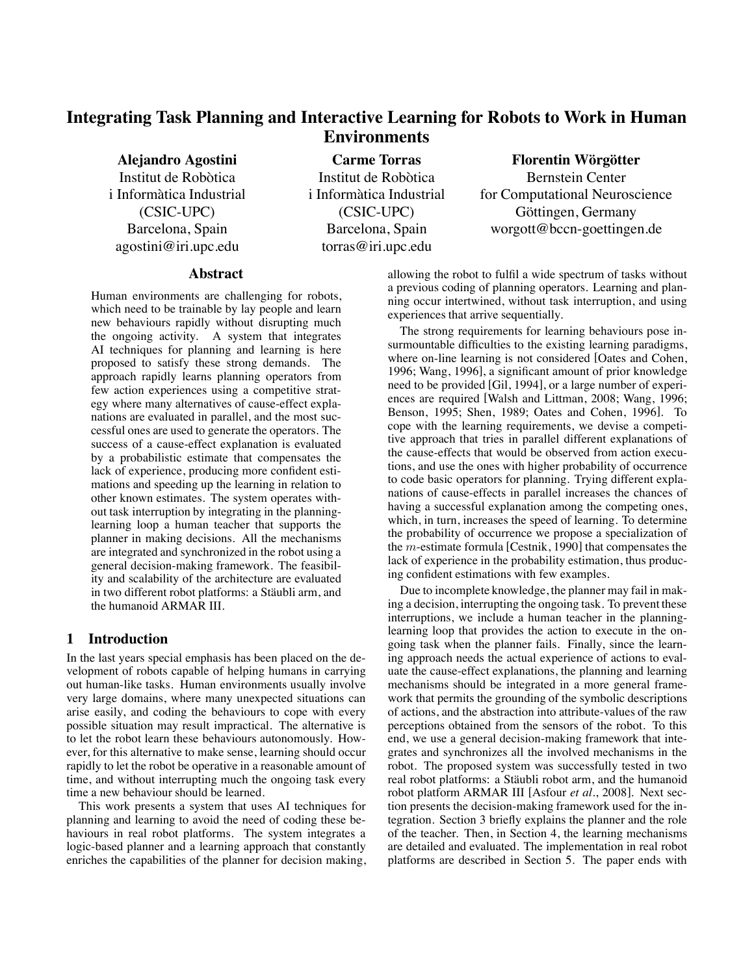# **Integrating Task Planning and Interactive Learning for Robots to Work in Human Environments**

**Alejandro Agostini** Institut de Robòtica i Informàtica Industrial (CSIC-UPC) Barcelona, Spain agostini@iri.upc.edu

**Carme Torras** Institut de Robòtica i Informàtica Industrial (CSIC-UPC) Barcelona, Spain torras@iri.upc.edu

# $r^2$  **Florentin Wörgötter** Bernstein Center for Computational Neuroscience Göttingen, Germany worgott@bccn-goettingen.de

#### **Abstract**

Human environments are challenging for robots, which need to be trainable by lay people and learn new behaviours rapidly without disrupting much the ongoing activity. A system that integrates AI techniques for planning and learning is here proposed to satisfy these strong demands. The approach rapidly learns planning operators from few action experiences using a competitive strategy where many alternatives of cause-effect explanations are evaluated in parallel, and the most successful ones are used to generate the operators. The success of a cause-effect explanation is evaluated by a probabilistic estimate that compensates the lack of experience, producing more confident estimations and speeding up the learning in relation to other known estimates. The system operates without task interruption by integrating in the planninglearning loop a human teacher that supports the planner in making decisions. All the mechanisms are integrated and synchronized in the robot using a general decision-making framework. The feasibility and scalability of the architecture are evaluated in two different robot platforms: a Stäubli arm, and the humanoid ARMAR III.

# **1 Introduction**

In the last years special emphasis has been placed on the development of robots capable of helping humans in carrying out human-like tasks. Human environments usually involve very large domains, where many unexpected situations can arise easily, and coding the behaviours to cope with every possible situation may result impractical. The alternative is to let the robot learn these behaviours autonomously. However, for this alternative to make sense, learning should occur rapidly to let the robot be operative in a reasonable amount of time, and without interrupting much the ongoing task every time a new behaviour should be learned.

This work presents a system that uses AI techniques for planning and learning to avoid the need of coding these behaviours in real robot platforms. The system integrates a logic-based planner and a learning approach that constantly enriches the capabilities of the planner for decision making, allowing the robot to fulfil a wide spectrum of tasks without a previous coding of planning operators. Learning and planning occur intertwined, without task interruption, and using experiences that arrive sequentially.

The strong requirements for learning behaviours pose insurmountable difficulties to the existing learning paradigms, where on-line learning is not considered [Oates and Cohen, 1996; Wang, 1996], a significant amount of prior knowledge need to be provided [Gil, 1994], or a large number of experiences are required [Walsh and Littman, 2008; Wang, 1996; Benson, 1995; Shen, 1989; Oates and Cohen, 1996]. To cope with the learning requirements, we devise a competitive approach that tries in parallel different explanations of the cause-effects that would be observed from action executions, and use the ones with higher probability of occurrence to code basic operators for planning. Trying different explanations of cause-effects in parallel increases the chances of having a successful explanation among the competing ones, which, in turn, increases the speed of learning. To determine the probability of occurrence we propose a specialization of the *m*-estimate formula [Cestnik, 1990] that compensates the lack of experience in the probability estimation, thus producing confident estimations with few examples.

Due to incomplete knowledge, the planner may fail in making a decision, interrupting the ongoing task. To prevent these interruptions, we include a human teacher in the planninglearning loop that provides the action to execute in the ongoing task when the planner fails. Finally, since the learning approach needs the actual experience of actions to evaluate the cause-effect explanations, the planning and learning mechanisms should be integrated in a more general framework that permits the grounding of the symbolic descriptions of actions, and the abstraction into attribute-values of the raw perceptions obtained from the sensors of the robot. To this end, we use a general decision-making framework that integrates and synchronizes all the involved mechanisms in the robot. The proposed system was successfully tested in two real robot platforms: a Stäubli robot arm, and the humanoid robot platform ARMAR III [Asfour *et al.*, 2008]. Next section presents the decision-making framework used for the integration. Section 3 briefly explains the planner and the role of the teacher. Then, in Section 4, the learning mechanisms are detailed and evaluated. The implementation in real robot platforms are described in Section 5. The paper ends with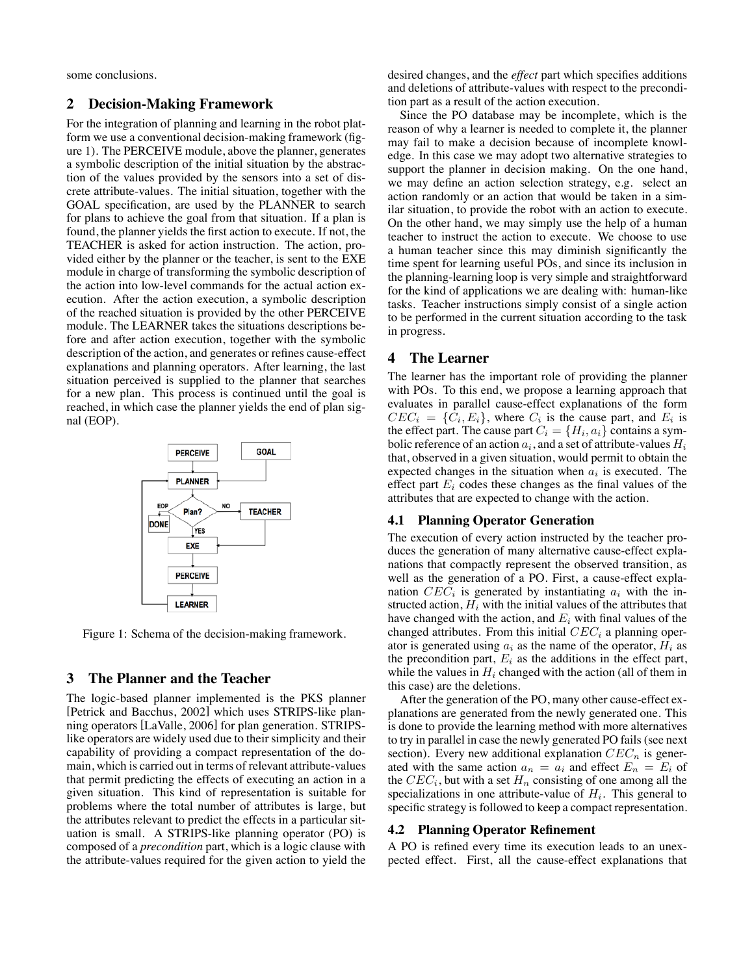some conclusions.

# **2 Decision-Making Framework**

For the integration of planning and learning in the robot platform we use a conventional decision-making framework (figure 1). The PERCEIVE module, above the planner, generates a symbolic description of the initial situation by the abstraction of the values provided by the sensors into a set of discrete attribute-values. The initial situation, together with the GOAL specification, are used by the PLANNER to search for plans to achieve the goal from that situation. If a plan is found, the planner yields the first action to execute. If not, the TEACHER is asked for action instruction. The action, provided either by the planner or the teacher, is sent to the EXE module in charge of transforming the symbolic description of the action into low-level commands for the actual action execution. After the action execution, a symbolic description of the reached situation is provided by the other PERCEIVE module. The LEARNER takes the situations descriptions before and after action execution, together with the symbolic description of the action, and generates or refines cause-effect explanations and planning operators. After learning, the last situation perceived is supplied to the planner that searches for a new plan. This process is continued until the goal is reached, in which case the planner yields the end of plan signal (EOP).



Figure 1: Schema of the decision-making framework.

## **3 The Planner and the Teacher**

The logic-based planner implemented is the PKS planner [Petrick and Bacchus, 2002] which uses STRIPS-like planning operators [LaValle, 2006] for plan generation. STRIPSlike operators are widely used due to their simplicity and their capability of providing a compact representation of the domain, which is carried out in terms of relevant attribute-values that permit predicting the effects of executing an action in a given situation. This kind of representation is suitable for problems where the total number of attributes is large, but the attributes relevant to predict the effects in a particular situation is small. A STRIPS-like planning operator (PO) is composed of a *precondition* part, which is a logic clause with the attribute-values required for the given action to yield the desired changes, and the *effect* part which specifies additions and deletions of attribute-values with respect to the precondition part as a result of the action execution.

Since the PO database may be incomplete, which is the reason of why a learner is needed to complete it, the planner may fail to make a decision because of incomplete knowledge. In this case we may adopt two alternative strategies to support the planner in decision making. On the one hand, we may define an action selection strategy, e.g. select an action randomly or an action that would be taken in a similar situation, to provide the robot with an action to execute. On the other hand, we may simply use the help of a human teacher to instruct the action to execute. We choose to use a human teacher since this may diminish significantly the time spent for learning useful POs, and since its inclusion in the planning-learning loop is very simple and straightforward for the kind of applications we are dealing with: human-like tasks. Teacher instructions simply consist of a single action to be performed in the current situation according to the task in progress.

# **4 The Learner**

The learner has the important role of providing the planner with POs. To this end, we propose a learning approach that evaluates in parallel cause-effect explanations of the form  $CEC_i = \{C_i, E_i\}$ , where  $C_i$  is the cause part, and  $E_i$  is the effect part. The cause part  $C_i = \{H_i, a_i\}$  contains a symbolic reference of an action  $a_i$ , and a set of attribute-values  $H_i$ that, observed in a given situation, would permit to obtain the expected changes in the situation when *a<sup>i</sup>* is executed. The effect part  $E_i$  codes these changes as the final values of the attributes that are expected to change with the action.

## **4.1 Planning Operator Generation**

The execution of every action instructed by the teacher produces the generation of many alternative cause-effect explanations that compactly represent the observed transition, as well as the generation of a PO. First, a cause-effect explanation  $CEC_i$  is generated by instantiating  $a_i$  with the instructed action,  $H_i$  with the initial values of the attributes that have changed with the action, and *E<sup>i</sup>* with final values of the changed attributes. From this initial *CEC<sup>i</sup>* a planning operator is generated using  $a_i$  as the name of the operator,  $H_i$  as the precondition part,  $E_i$  as the additions in the effect part, while the values in  $H_i$  changed with the action (all of them in this case) are the deletions.

After the generation of the PO, many other cause-effect explanations are generated from the newly generated one. This is done to provide the learning method with more alternatives to try in parallel in case the newly generated PO fails (see next section). Every new additional explanation *CEC<sup>n</sup>* is generated with the same action  $a_n = a_i$  and effect  $E_n = E_i$  of the  $CEC_i$ , but with a set  $H_n$  consisting of one among all the specializations in one attribute-value of  $H_i$ . This general to specific strategy is followed to keep a compact representation.

#### **4.2 Planning Operator Refinement**

A PO is refined every time its execution leads to an unexpected effect. First, all the cause-effect explanations that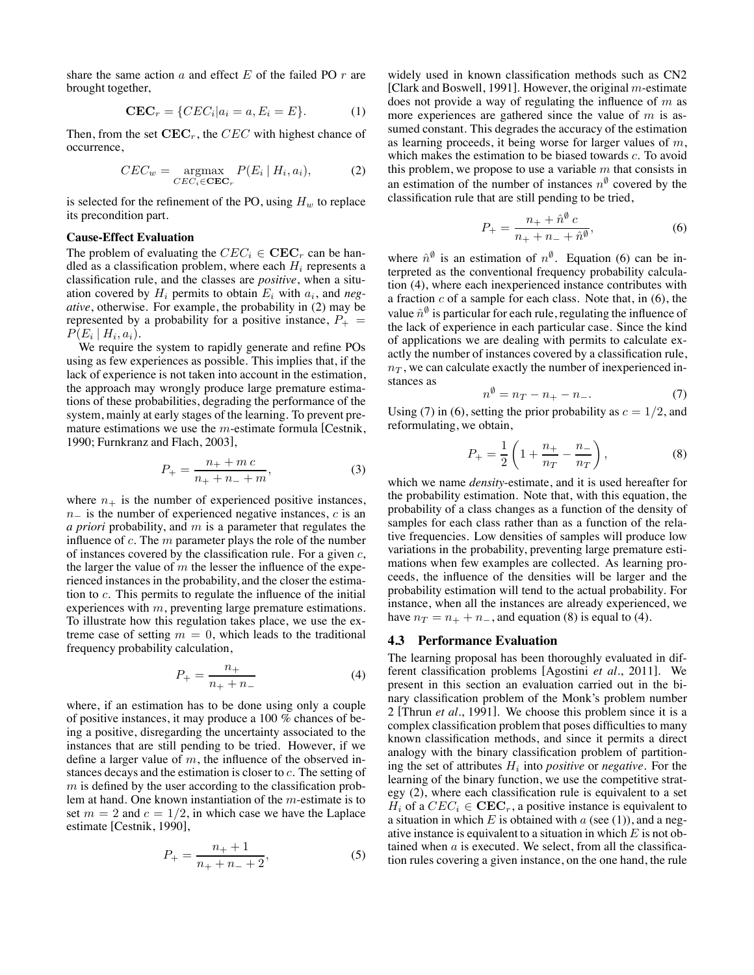share the same action *a* and effect *E* of the failed PO *r* are brought together,

$$
\mathbf{CEC}_r = \{ CEC_i | a_i = a, E_i = E \}. \tag{1}
$$

Then, from the set **CEC***r*, the *CEC* with highest chance of occurrence,

$$
CEC_w = \underset{CEC_i \in \mathbf{CEC}_r}{\text{argmax}} P(E_i \mid H_i, a_i), \tag{2}
$$

is selected for the refinement of the PO, using  $H_w$  to replace its precondition part.

#### **Cause-Effect Evaluation**

The problem of evaluating the  $CEC_i \in \mathbf{CEC}_r$  can be handled as a classification problem, where each *H<sup>i</sup>* represents a classification rule, and the classes are *positive*, when a situation covered by  $H_i$  permits to obtain  $E_i$  with  $a_i$ , and *negative*, otherwise. For example, the probability in (2) may be represented by a probability for a positive instance,  $P_+$  =  $P(E_i | H_i, a_i)$ .

We require the system to rapidly generate and refine POs using as few experiences as possible. This implies that, if the lack of experience is not taken into account in the estimation, the approach may wrongly produce large premature estimations of these probabilities, degrading the performance of the system, mainly at early stages of the learning. To prevent premature estimations we use the *m*-estimate formula [Cestnik, 1990; Furnkranz and Flach, 2003],

$$
P_{+} = \frac{n_{+} + m c}{n_{+} + n_{-} + m},
$$
\n(3)

where  $n_{+}$  is the number of experienced positive instances, *n*− is the number of experienced negative instances, *c* is an *a priori* probability, and *m* is a parameter that regulates the influence of *c*. The *m* parameter plays the role of the number of instances covered by the classification rule. For a given *c*, the larger the value of *m* the lesser the influence of the experienced instances in the probability, and the closer the estimation to *c*. This permits to regulate the influence of the initial experiences with *m*, preventing large premature estimations. To illustrate how this regulation takes place, we use the extreme case of setting  $m = 0$ , which leads to the traditional frequency probability calculation,

$$
P_{+} = \frac{n_{+}}{n_{+} + n_{-}} \tag{4}
$$

where, if an estimation has to be done using only a couple of positive instances, it may produce a 100 % chances of being a positive, disregarding the uncertainty associated to the instances that are still pending to be tried. However, if we define a larger value of *m*, the influence of the observed instances decays and the estimation is closer to *c*. The setting of *m* is defined by the user according to the classification problem at hand. One known instantiation of the *m*-estimate is to set  $m = 2$  and  $c = 1/2$ , in which case we have the Laplace estimate [Cestnik, 1990],

$$
P_{+} = \frac{n_{+} + 1}{n_{+} + n_{-} + 2},\tag{5}
$$

widely used in known classification methods such as CN2 [Clark and Boswell, 1991]. However, the original *m*-estimate does not provide a way of regulating the influence of *m* as more experiences are gathered since the value of *m* is assumed constant. This degrades the accuracy of the estimation as learning proceeds, it being worse for larger values of *m*, which makes the estimation to be biased towards *c*. To avoid this problem, we propose to use a variable *m* that consists in an estimation of the number of instances  $n^{\phi}$  covered by the classification rule that are still pending to be tried,

$$
P_{+} = \frac{n_{+} + \hat{n}^{\emptyset} c}{n_{+} + n_{-} + \hat{n}^{\emptyset}},
$$
\n(6)

where  $\hat{n}^{\emptyset}$  is an estimation of  $n^{\emptyset}$ . Equation (6) can be interpreted as the conventional frequency probability calculation (4), where each inexperienced instance contributes with a fraction *c* of a sample for each class. Note that, in (6), the value  $\hat{n}^{\phi}$  is particular for each rule, regulating the influence of the lack of experience in each particular case. Since the kind of applications we are dealing with permits to calculate exactly the number of instances covered by a classification rule,  $n<sub>T</sub>$ , we can calculate exactly the number of inexperienced instances as

$$
n^{\emptyset} = n_T - n_+ - n_-. \tag{7}
$$

Using (7) in (6), setting the prior probability as  $c = 1/2$ , and reformulating we obtain reformulating, we obtain,

$$
P_{+} = \frac{1}{2} \left( 1 + \frac{n_{+}}{n_{T}} - \frac{n_{-}}{n_{T}} \right),
$$
 (8)

which we name *density*-estimate, and it is used hereafter for the probability estimation. Note that, with this equation, the probability of a class changes as a function of the density of samples for each class rather than as a function of the relative frequencies. Low densities of samples will produce low variations in the probability, preventing large premature estimations when few examples are collected. As learning proceeds, the influence of the densities will be larger and the probability estimation will tend to the actual probability. For instance, when all the instances are already experienced, we have  $n_T = n_+ + n_-$ , and equation (8) is equal to (4).

#### **4.3 Performance Evaluation**

The learning proposal has been thoroughly evaluated in different classification problems [Agostini *et al.*, 2011]. We present in this section an evaluation carried out in the binary classification problem of the Monk's problem number 2 [Thrun *et al.*, 1991]. We choose this problem since it is a complex classification problem that poses difficulties to many known classification methods, and since it permits a direct analogy with the binary classification problem of partitioning the set of attributes *H<sup>i</sup>* into *positive* or *negative*. For the learning of the binary function, we use the competitive strategy (2), where each classification rule is equivalent to a set *H*<sup>*i*</sup> of a  $CEC_i \in \mathbf{CEC}_r$ , a positive instance is equivalent to a situation in which *E* is obtained with *a* (see (1)), and a negative instance is equivalent to a situation in which *E* is not obtained when *a* is executed. We select, from all the classification rules covering a given instance, on the one hand, the rule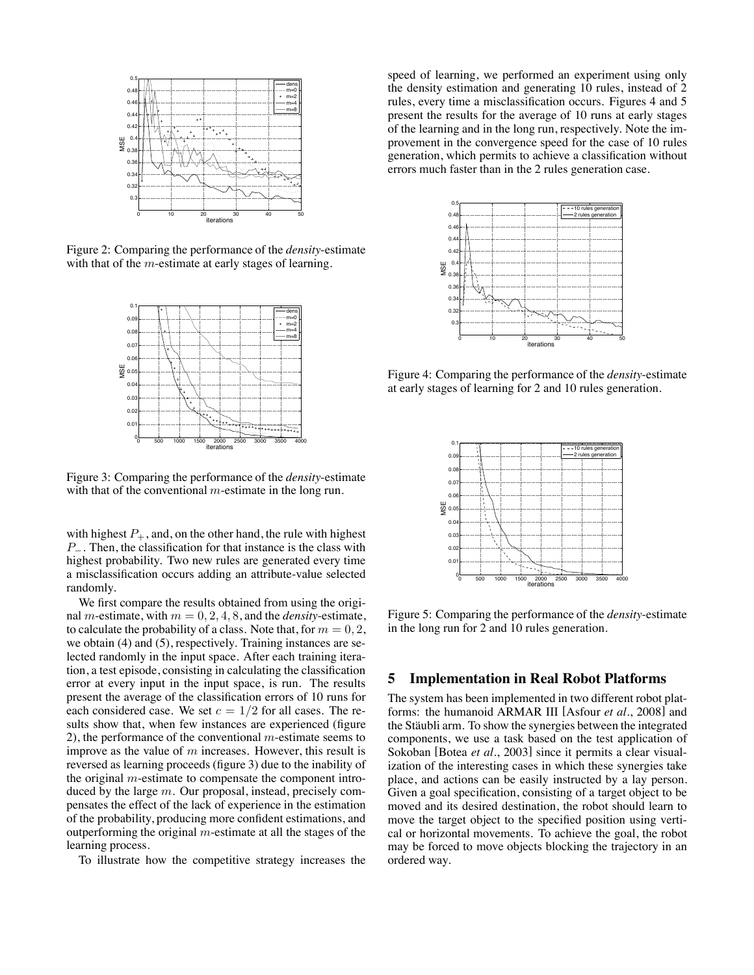

Figure 2: Comparing the performance of the *density*-estimate with that of the *m*-estimate at early stages of learning.



Figure 3: Comparing the performance of the *density*-estimate with that of the conventional *m*-estimate in the long run.

with highest  $P_+$ , and, on the other hand, the rule with highest *P*<sup>−</sup>. Then, the classification for that instance is the class with highest probability. Two new rules are generated every time a misclassification occurs adding an attribute-value selected randomly.

We first compare the results obtained from using the original *m*-estimate, with  $m = 0, 2, 4, 8$ , and the *density*-estimate, to calculate the probability of a class. Note that, for  $m = 0, 2$ , we obtain (4) and (5), respectively. Training instances are selected randomly in the input space. After each training iteration, a test episode, consisting in calculating the classification error at every input in the input space, is run. The results present the average of the classification errors of 10 runs for each considered case. We set  $c = 1/2$  for all cases. The results show that, when few instances are experienced (figure 2), the performance of the conventional *m*-estimate seems to improve as the value of *m* increases. However, this result is reversed as learning proceeds (figure 3) due to the inability of the original *m*-estimate to compensate the component introduced by the large *m*. Our proposal, instead, precisely compensates the effect of the lack of experience in the estimation of the probability, producing more confident estimations, and outperforming the original *m*-estimate at all the stages of the learning process.

To illustrate how the competitive strategy increases the

speed of learning, we performed an experiment using only the density estimation and generating 10 rules, instead of 2 rules, every time a misclassification occurs. Figures 4 and 5 present the results for the average of 10 runs at early stages of the learning and in the long run, respectively. Note the improvement in the convergence speed for the case of 10 rules generation, which permits to achieve a classification without errors much faster than in the 2 rules generation case.



Figure 4: Comparing the performance of the *density*-estimate at early stages of learning for 2 and 10 rules generation.



Figure 5: Comparing the performance of the *density*-estimate in the long run for 2 and 10 rules generation.

## **5 Implementation in Real Robot Platforms**

The system has been implemented in two different robot platforms: the humanoid ARMAR III [Asfour *et al.*, 2008] and the Stäubli arm. To show the synergies between the integrated components, we use a task based on the test application of Sokoban [Botea *et al.*, 2003] since it permits a clear visualization of the interesting cases in which these synergies take place, and actions can be easily instructed by a lay person. Given a goal specification, consisting of a target object to be moved and its desired destination, the robot should learn to move the target object to the specified position using vertical or horizontal movements. To achieve the goal, the robot may be forced to move objects blocking the trajectory in an ordered way.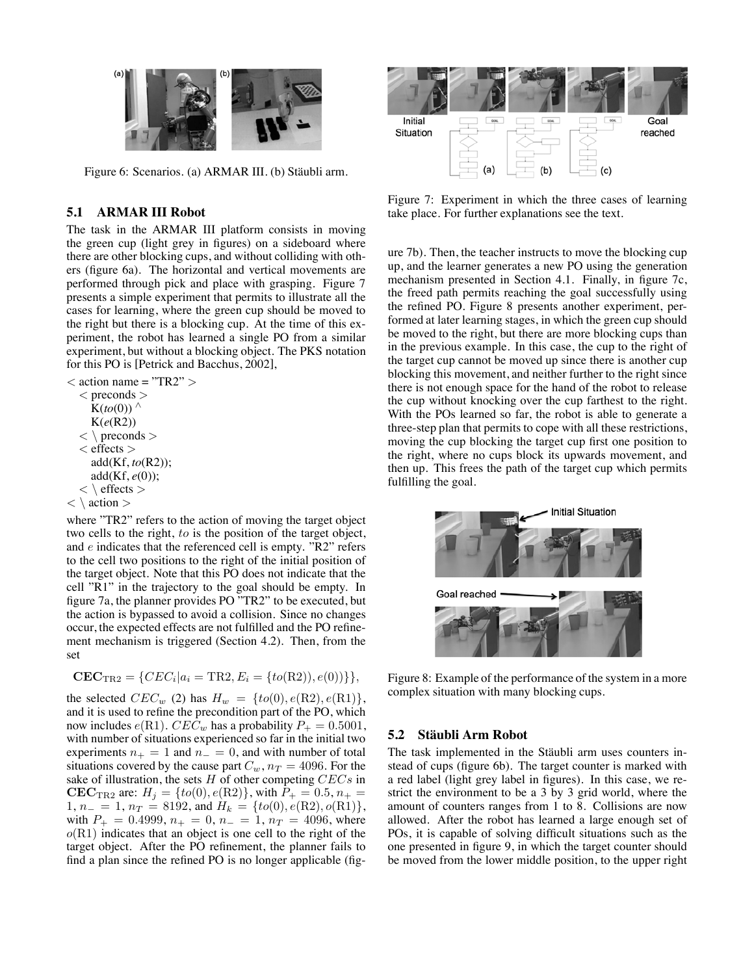

Figure 6: Scenarios. (a) ARMAR III. (b) Stäubli arm.

## **5.1 ARMAR III Robot**

The task in the ARMAR III platform consists in moving the green cup (light grey in figures) on a sideboard where there are other blocking cups, and without colliding with others (figure 6a). The horizontal and vertical movements are performed through pick and place with grasping. Figure 7 presents a simple experiment that permits to illustrate all the cases for learning, where the green cup should be moved to the right but there is a blocking cup. At the time of this experiment, the robot has learned a single PO from a similar experiment, but without a blocking object. The PKS notation for this PO is [Petrick and Bacchus, 2002],

*<* action name = "TR2" *>*

*<* preconds *>*  $K(to(0))$  ^ K(*e*(R2)) *<* \ preconds *> <* effects *>* add(Kf, *to*(R2)); add(Kf, *e*(0)); *<* \ effects *> <* \ action *>*

where "TR2" refers to the action of moving the target object two cells to the right, *to* is the position of the target object, and *e* indicates that the referenced cell is empty. "R2" refers to the cell two positions to the right of the initial position of the target object. Note that this PO does not indicate that the cell "R1" in the trajectory to the goal should be empty. In figure 7a, the planner provides PO "TR2" to be executed, but the action is bypassed to avoid a collision. Since no changes occur, the expected effects are not fulfilled and the PO refinement mechanism is triggered (Section 4.2). Then, from the set

$$
CEC_{TR2} = \{ CEC_i | a_i = TR2, E_i = \{ to(R2)), e(0) \} \},
$$

the selected  $CEC_w$  (2) has  $H_w = \{to(0), e(R2), e(R1)\},$ and it is used to refine the precondition part of the PO, which now includes  $e(R1)$ .  $CEC_w$  has a probability  $P_+ = 0.5001$ , with number of situations experienced so far in the initial two experiments  $n_{+} = 1$  and  $n_{-} = 0$ , and with number of total situations covered by the cause part  $C_w$ ,  $n_T = 4096$ . For the sake of illustration, the sets *H* of other competing *CECs* in **CEC**<sub>TR2</sub> are:  $H_j = \{ to(0), e(R2) \}$ , with  $P_+ = 0.5$ ,  $n_+ =$ 1,  $n_{-} = 1$ ,  $n_{T} = 8192$ , and  $H_{k} = \{ to(0), e(\text{R2}), o(\text{R1}) \},$ with  $P_+ = 0.4999$ ,  $n_+ = 0$ ,  $n_- = 1$ ,  $n_T = 4096$ , where *<sup>o</sup>*(R1) indicates that an object is one cell to the right of the target object. After the PO refinement, the planner fails to find a plan since the refined PO is no longer applicable (fig-



Figure 7: Experiment in which the three cases of learning take place. For further explanations see the text.

ure 7b). Then, the teacher instructs to move the blocking cup up, and the learner generates a new PO using the generation mechanism presented in Section 4.1. Finally, in figure 7c, the freed path permits reaching the goal successfully using the refined PO. Figure 8 presents another experiment, performed at later learning stages, in which the green cup should be moved to the right, but there are more blocking cups than in the previous example. In this case, the cup to the right of the target cup cannot be moved up since there is another cup blocking this movement, and neither further to the right since there is not enough space for the hand of the robot to release the cup without knocking over the cup farthest to the right. With the POs learned so far, the robot is able to generate a three-step plan that permits to cope with all these restrictions, moving the cup blocking the target cup first one position to the right, where no cups block its upwards movement, and then up. This frees the path of the target cup which permits fulfilling the goal.



Figure 8: Example of the performance of the system in a more complex situation with many blocking cups.

## **5.2 Staubli Arm Robot ¨**

The task implemented in the Stäubli arm uses counters instead of cups (figure 6b). The target counter is marked with a red label (light grey label in figures). In this case, we restrict the environment to be a 3 by 3 grid world, where the amount of counters ranges from 1 to 8. Collisions are now allowed. After the robot has learned a large enough set of POs, it is capable of solving difficult situations such as the one presented in figure 9, in which the target counter should be moved from the lower middle position, to the upper right